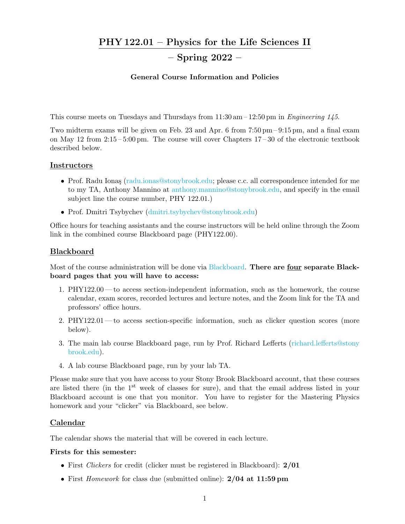## PHY 122.01 – Physics for the Life Sciences II

# – Spring 2022 –

### General Course Information and Policies

This course meets on Tuesdays and Thursdays from  $11:30 \text{ am} - 12:50 \text{ pm}$  in Engineering 145.

Two midterm exams will be given on Feb. 23 and Apr. 6 from 7:50 pm – 9:15 pm, and a final exam on May 12 from 2:15 – 5:00 pm. The course will cover Chapters 17 – 30 of the electronic textbook described below.

### **Instructors**

- Prof. Radu Ionaş [\(radu.ionas@stonybrook.edu;](mailto:radu.ionas@stonybrook.edu) please c.c. all correspondence intended for me to my TA, Anthony Mannino at [anthony.mannino@stonybrook.edu,](mailto:anthony.mannino@stonybrook.edu) and specify in the email subject line the course number, PHY 122.01.)
- Prof. Dmitri Tsybychev [\(dmitri.tsybychev@stonybrook.edu\)](mailto:dmitri.tsybychev@stonybrook.edu)

Office hours for teaching assistants and the course instructors will be held online through the Zoom link in the combined course Blackboard page (PHY122.00).

### Blackboard

Most of the course administration will be done via [Blackboard.](https://blackboard.stonybrook.edu/webapps/login/) There are four separate Blackboard pages that you will have to access:

- 1. PHY122.00 to access section-independent information, such as the homework, the course calendar, exam scores, recorded lectures and lecture notes, and the Zoom link for the TA and professors' office hours.
- 2. PHY122.01 to access section-specific information, such as clicker question scores (more below).
- 3. The main lab course Blackboard page, run by Prof. Richard Lefferts [\(richard.lefferts@stony](mailto:richard.lefferts@stonybrook.edu) [brook.edu\)](mailto:richard.lefferts@stonybrook.edu).
- 4. A lab course Blackboard page, run by your lab TA.

Please make sure that you have access to your Stony Brook Blackboard account, that these courses are listed there (in the  $1<sup>st</sup>$  week of classes for sure), and that the email address listed in your Blackboard account is one that you monitor. You have to register for the Mastering Physics homework and your "clicker" via Blackboard, see below.

### Calendar

The calendar shows the material that will be covered in each lecture.

### Firsts for this semester:

- First Clickers for credit (clicker must be registered in Blackboard): 2/01
- First *Homework* for class due (submitted online): 2/04 at 11:59 pm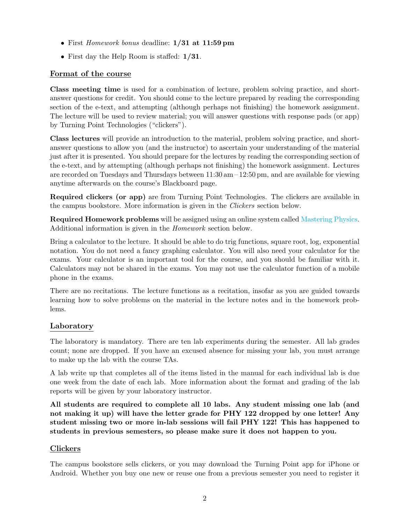- First Homework bonus deadline: 1/31 at 11:59 pm
- First day the Help Room is staffed:  $1/31$ .

## Format of the course

Class meeting time is used for a combination of lecture, problem solving practice, and shortanswer questions for credit. You should come to the lecture prepared by reading the corresponding section of the e-text, and attempting (although perhaps not finishing) the homework assignment. The lecture will be used to review material; you will answer questions with response pads (or app) by Turning Point Technologies ("clickers").

Class lectures will provide an introduction to the material, problem solving practice, and shortanswer questions to allow you (and the instructor) to ascertain your understanding of the material just after it is presented. You should prepare for the lectures by reading the corresponding section of the e-text, and by attempting (although perhaps not finishing) the homework assignment. Lectures are recorded on Tuesdays and Thursdays between  $11:30 \text{ am} - 12:50 \text{ pm}$ , and are available for viewing anytime afterwards on the course's Blackboard page.

Required clickers (or app) are from Turning Point Technologies. The clickers are available in the campus bookstore. More information is given in the Clickers section below.

Required Homework problems will be assigned using an online system called [Mastering Physics.](https://mlm.pearson.com/northamerica/masteringphysics/) Additional information is given in the Homework section below.

Bring a calculator to the lecture. It should be able to do trig functions, square root, log, exponential notation. You do not need a fancy graphing calculator. You will also need your calculator for the exams. Your calculator is an important tool for the course, and you should be familiar with it. Calculators may not be shared in the exams. You may not use the calculator function of a mobile phone in the exams.

There are no recitations. The lecture functions as a recitation, insofar as you are guided towards learning how to solve problems on the material in the lecture notes and in the homework problems.

## Laboratory

The laboratory is mandatory. There are ten lab experiments during the semester. All lab grades count; none are dropped. If you have an excused absence for missing your lab, you must arrange to make up the lab with the course TAs.

A lab write up that completes all of the items listed in the manual for each individual lab is due one week from the date of each lab. More information about the format and grading of the lab reports will be given by your laboratory instructor.

All students are required to complete all 10 labs. Any student missing one lab (and not making it up) will have the letter grade for PHY 122 dropped by one letter! Any student missing two or more in-lab sessions will fail PHY 122! This has happened to students in previous semesters, so please make sure it does not happen to you.

## Clickers

The campus bookstore sells clickers, or you may download the Turning Point app for iPhone or Android. Whether you buy one new or reuse one from a previous semester you need to register it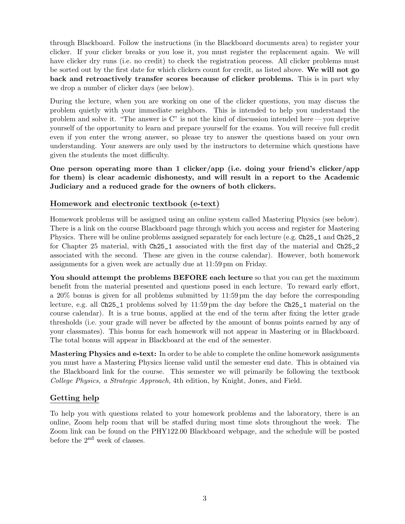through Blackboard. Follow the instructions (in the Blackboard documents area) to register your clicker. If your clicker breaks or you lose it, you must register the replacement again. We will have clicker dry runs (i.e. no credit) to check the registration process. All clicker problems must be sorted out by the first date for which clickers count for credit, as listed above. We will not go back and retroactively transfer scores because of clicker problems. This is in part why we drop a number of clicker days (see below).

During the lecture, when you are working on one of the clicker questions, you may discuss the problem quietly with your immediate neighbors. This is intended to help you understand the problem and solve it. "The answer is C" is not the kind of discussion intended here — you deprive yourself of the opportunity to learn and prepare yourself for the exams. You will receive full credit even if you enter the wrong answer, so please try to answer the questions based on your own understanding. Your answers are only used by the instructors to determine which questions have given the students the most difficulty.

One person operating more than 1 clicker/app (i.e. doing your friend's clicker/app for them) is clear academic dishonesty, and will result in a report to the Academic Judiciary and a reduced grade for the owners of both clickers.

## Homework and electronic textbook (e-text)

Homework problems will be assigned using an online system called Mastering Physics (see below). There is a link on the course Blackboard page through which you access and register for Mastering Physics. There will be online problems assigned separately for each lecture (e.g. Ch25\_1 and Ch25\_2 for Chapter 25 material, with Ch25\_1 associated with the first day of the material and Ch25\_2 associated with the second. These are given in the course calendar). However, both homework assignments for a given week are actually due at 11:59 pm on Friday.

You should attempt the problems BEFORE each lecture so that you can get the maximum benefit from the material presented and questions posed in each lecture. To reward early effort, a 20% bonus is given for all problems submitted by 11:59 pm the day before the corresponding lecture, e.g. all Ch25\_1 problems solved by 11:59 pm the day before the Ch25\_1 material on the course calendar). It is a true bonus, applied at the end of the term after fixing the letter grade thresholds (i.e. your grade will never be affected by the amount of bonus points earned by any of your classmates). This bonus for each homework will not appear in Mastering or in Blackboard. The total bonus will appear in Blackboard at the end of the semester.

Mastering Physics and e-text: In order to be able to complete the online homework assignments you must have a Mastering Physics license valid until the semester end date. This is obtained via the Blackboard link for the course. This semester we will primarily be following the textbook College Physics, a Strategic Approach, 4th edition, by Knight, Jones, and Field.

### Getting help

To help you with questions related to your homework problems and the laboratory, there is an online, Zoom help room that will be staffed during most time slots throughout the week. The Zoom link can be found on the PHY122.00 Blackboard webpage, and the schedule will be posted before the 2nd week of classes.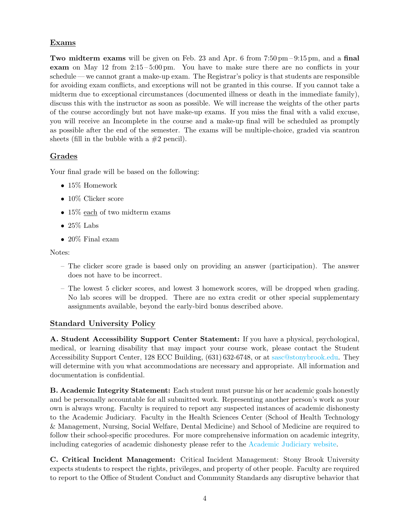## Exams

Two midterm exams will be given on Feb. 23 and Apr. 6 from  $7:50 \text{ pm} - 9:15 \text{ pm}$ , and a final exam on May 12 from 2:15 – 5:00 pm. You have to make sure there are no conflicts in your schedule — we cannot grant a make-up exam. The Registrar's policy is that students are responsible for avoiding exam conflicts, and exceptions will not be granted in this course. If you cannot take a midterm due to exceptional circumstances (documented illness or death in the immediate family), discuss this with the instructor as soon as possible. We will increase the weights of the other parts of the course accordingly but not have make-up exams. If you miss the final with a valid excuse, you will receive an Incomplete in the course and a make-up final will be scheduled as promptly as possible after the end of the semester. The exams will be multiple-choice, graded via scantron sheets (fill in the bubble with a  $#2$  pencil).

## Grades

Your final grade will be based on the following:

- 15% Homework
- 10% Clicker score
- 15\% each of two midterm exams
- 25\% Labs
- 20% Final exam

Notes:

- The clicker score grade is based only on providing an answer (participation). The answer does not have to be incorrect.
- The lowest 5 clicker scores, and lowest 3 homework scores, will be dropped when grading. No lab scores will be dropped. There are no extra credit or other special supplementary assignments available, beyond the early-bird bonus described above.

## Standard University Policy

A. Student Accessibility Support Center Statement: If you have a physical, psychological, medical, or learning disability that may impact your course work, please contact the Student Accessibility Support Center, 128 ECC Building, (631) 632-6748, or at [sasc@stonybrook.edu.](mailto:sasc@stonybrook.edu) They will determine with you what accommodations are necessary and appropriate. All information and documentation is confidential.

B. Academic Integrity Statement: Each student must pursue his or her academic goals honestly and be personally accountable for all submitted work. Representing another person's work as your own is always wrong. Faculty is required to report any suspected instances of academic dishonesty to the Academic Judiciary. Faculty in the Health Sciences Center (School of Health Technology & Management, Nursing, Social Welfare, Dental Medicine) and School of Medicine are required to follow their school-specific procedures. For more comprehensive information on academic integrity, including categories of academic dishonesty please refer to the [Academic Judiciary website.](http://www.stonybrook.edu/commcms/academic_integrity/index.html)

C. Critical Incident Management: Critical Incident Management: Stony Brook University expects students to respect the rights, privileges, and property of other people. Faculty are required to report to the Office of Student Conduct and Community Standards any disruptive behavior that